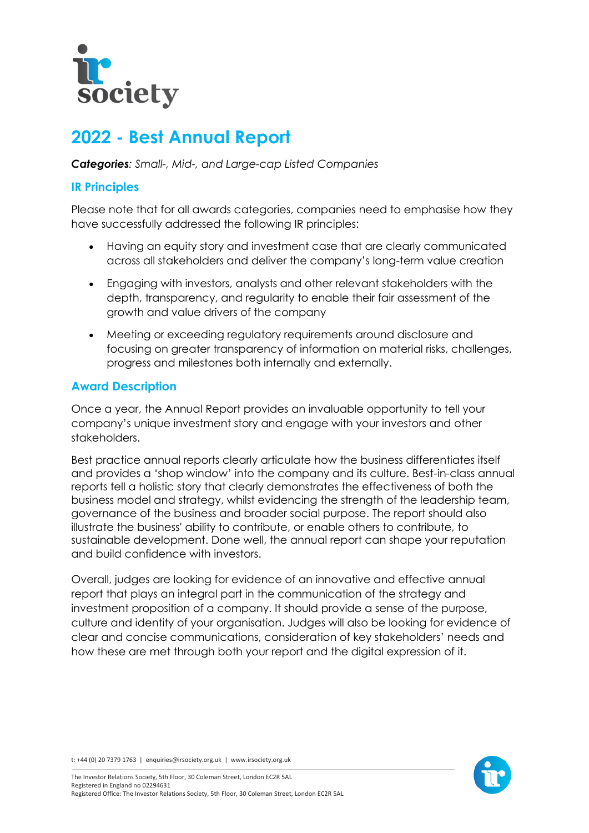

# **2022 - Best Annual Report**

*Categories: Small-, Mid-, and Large-cap Listed Companies*

## **IR Principles**

Please note that for all awards categories, companies need to emphasise how they have successfully addressed the following IR principles:

- Having an equity story and investment case that are clearly communicated across all stakeholders and deliver the company's long-term value creation
- Engaging with investors, analysts and other relevant stakeholders with the depth, transparency, and regularity to enable their fair assessment of the growth and value drivers of the company
- Meeting or exceeding regulatory requirements around disclosure and focusing on greater transparency of information on material risks, challenges, progress and milestones both internally and externally.

# **Award Description**

Once a year, the Annual Report provides an invaluable opportunity to tell your company's unique investment story and engage with your investors and other stakeholders.

Best practice annual reports clearly articulate how the business differentiates itself and provides a 'shop window' into the company and its culture. Best-in-class annual reports tell a holistic story that clearly demonstrates the effectiveness of both the business model and strategy, whilst evidencing the strength of the leadership team, governance of the business and broader social purpose. The report should also illustrate the business' ability to contribute, or enable others to contribute, to sustainable development. Done well, the annual report can shape your reputation and build confidence with investors.

Overall, judges are looking for evidence of an innovative and effective annual report that plays an integral part in the communication of the strategy and investment proposition of a company. It should provide a sense of the purpose, culture and identity of your organisation. Judges will also be looking for evidence of clear and concise communications, consideration of key stakeholders' needs and how these are met through both your report and the digital expression of it.

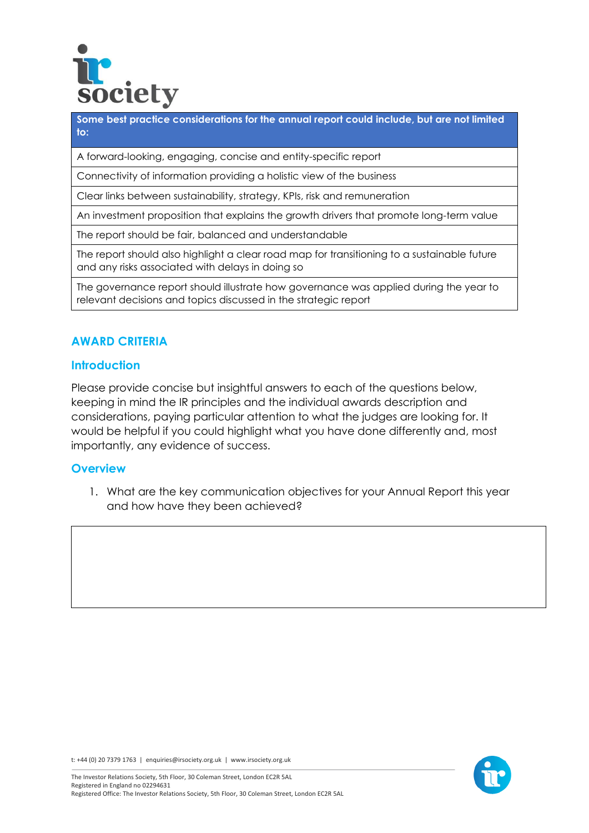

**Some best practice considerations for the annual report could include, but are not limited to:**

A forward-looking, engaging, concise and entity-specific report

Connectivity of information providing a holistic view of the business

Clear links between sustainability, strategy, KPIs, risk and remuneration

An investment proposition that explains the growth drivers that promote long-term value

The report should be fair, balanced and understandable

The report should also highlight a clear road map for transitioning to a sustainable future and any risks associated with delays in doing so

The governance report should illustrate how governance was applied during the year to relevant decisions and topics discussed in the strategic report

## **AWARD CRITERIA**

#### **Introduction**

Please provide concise but insightful answers to each of the questions below, keeping in mind the IR principles and the individual awards description and considerations, paying particular attention to what the judges are looking for. It would be helpful if you could highlight what you have done differently and, most importantly, any evidence of success.

#### **Overview**

1. What are the key communication objectives for your Annual Report this year and how have they been achieved?



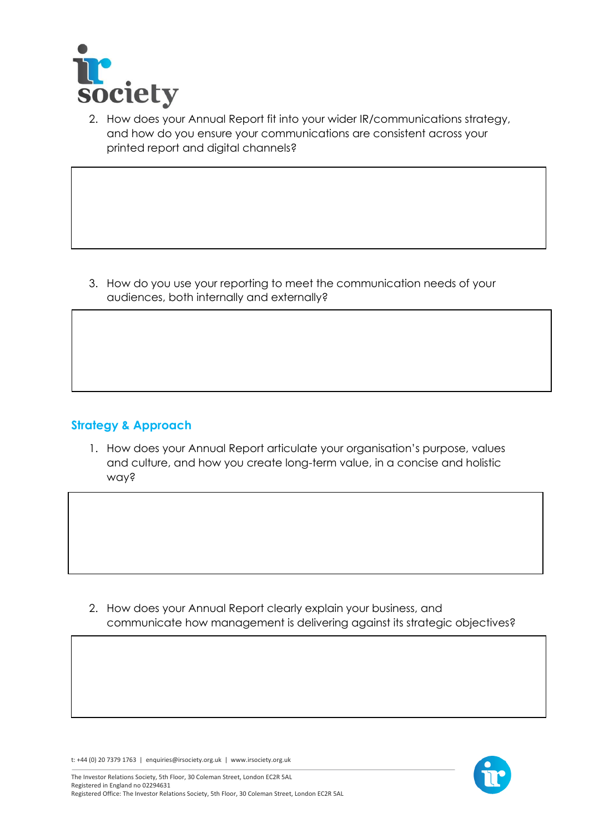

2. How does your Annual Report fit into your wider IR/communications strategy, and how do you ensure your communications are consistent across your printed report and digital channels?

3. How do you use your reporting to meet the communication needs of your audiences, both internally and externally?

# **Strategy & Approach**

1. How does your Annual Report articulate your organisation's purpose, values and culture, and how you create long-term value, in a concise and holistic way?

2. How does your Annual Report clearly explain your business, and communicate how management is delivering against its strategic objectives?

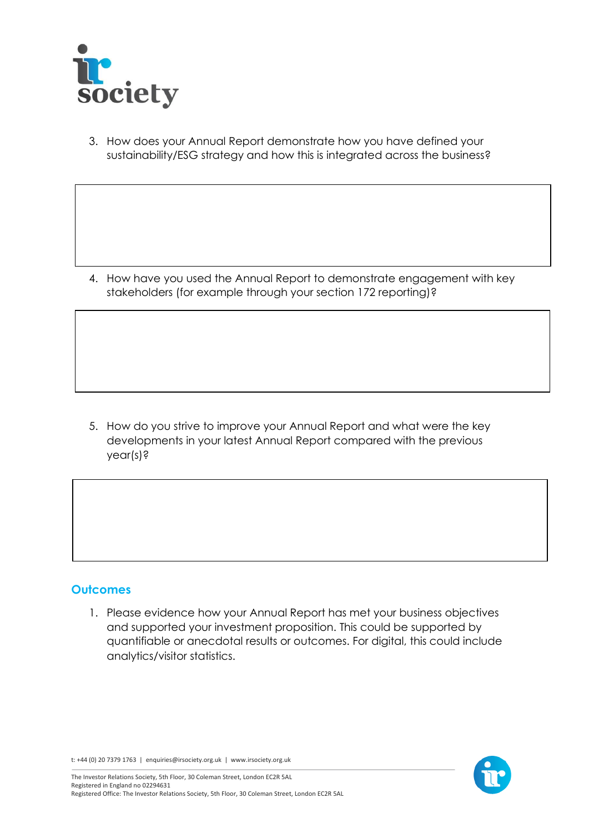

3. How does your Annual Report demonstrate how you have defined your sustainability/ESG strategy and how this is integrated across the business?

4. How have you used the Annual Report to demonstrate engagement with key stakeholders (for example through your section 172 reporting)?

5. How do you strive to improve your Annual Report and what were the key developments in your latest Annual Report compared with the previous year(s)?

### **Outcomes**

1. Please evidence how your Annual Report has met your business objectives and supported your investment proposition. This could be supported by quantifiable or anecdotal results or outcomes. For digital, this could include analytics/visitor statistics.